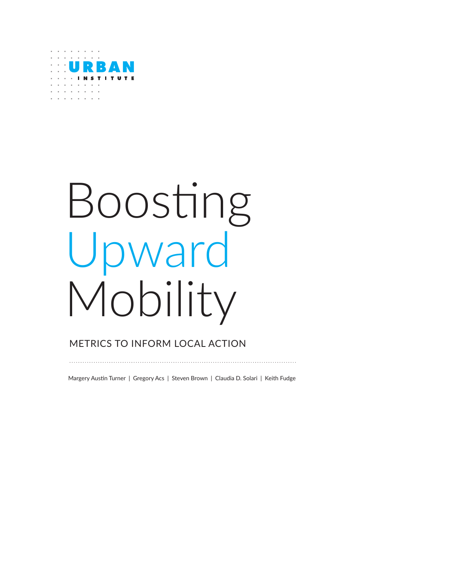

# Boosting Upward Mobility

## METRICS TO INFORM LOCAL ACTION

Margery Austin Turner | Gregory Acs | Steven Brown | Claudia D. Solari | Keith Fudge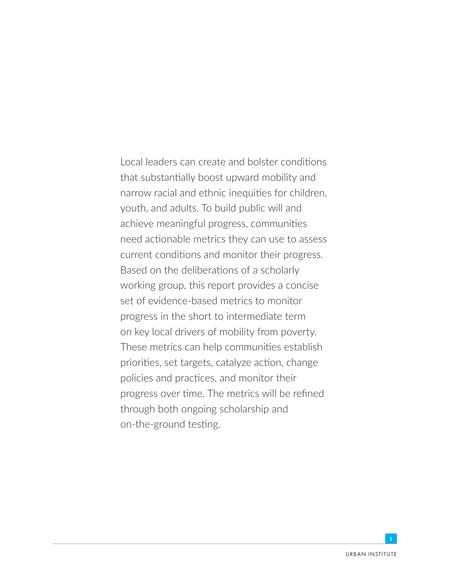Local leaders can create and bolster conditions that substantially boost upward mobility and narrow racial and ethnic inequities for children, youth, and adults. To build public will and achieve meaningful progress, communities need actionable metrics they can use to assess current conditions and monitor their progress. Based on the deliberations of a scholarly working group, this report provides a concise set of evidence-based metrics to monitor progress in the short to intermediate term on key local drivers of mobility from poverty. These metrics can help communities establish priorities, set targets, catalyze action, change policies and practices, and monitor their progress over time. The metrics will be refined through both ongoing scholarship and on-the-ground testing.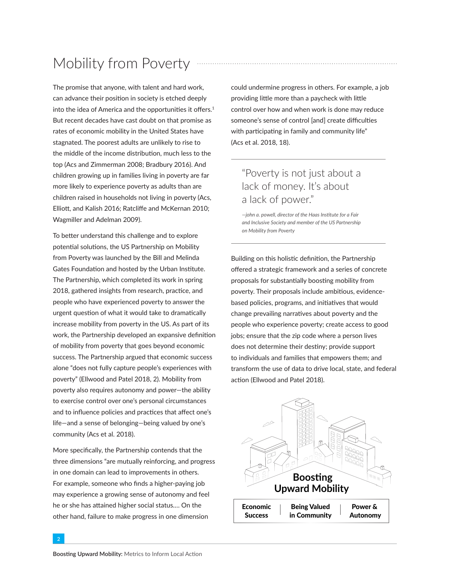# Mobility from Poverty

The promise that anyone, with talent and hard work, can advance their position in society is etched deeply into the idea of America and the opportunities it offers.<sup>1</sup> But recent decades have cast doubt on that promise as rates of economic mobility in the United States have stagnated. The poorest adults are unlikely to rise to the middle of the income distribution, much less to the top (Acs and Zimmerman 2008; Bradbury 2016). And children growing up in families living in poverty are far more likely to experience poverty as adults than are children raised in households not living in poverty (Acs, Elliott, and Kalish 2016; Ratcliffe and McKernan 2010; Wagmiller and Adelman 2009).

To better understand this challenge and to explore potential solutions, the [US Partnership on Mobility](https://www.mobilitypartnership.org/restoring-american-dream)  [from Poverty](https://www.mobilitypartnership.org/restoring-american-dream) was launched by the Bill and Melinda Gates Foundation and hosted by the Urban Institute. The Partnership, which completed its work in spring 2018, gathered insights from research, practice, and people who have experienced poverty to answer the urgent question of what it would take to dramatically increase mobility from poverty in the US. As part of its work, the Partnership developed an expansive definition of mobility from poverty that goes beyond economic success. The Partnership argued that economic success alone "does not fully capture people's experiences with poverty" (Ellwood and Patel 2018, 2). Mobility from poverty also requires autonomy and power—the ability to exercise control over one's personal circumstances and to influence policies and practices that affect one's life—and a sense of belonging—being valued by one's community (Acs et al. 2018).

More specifically, the Partnership contends that the three dimensions "are mutually reinforcing, and progress in one domain can lead to improvements in others. For example, someone who finds a higher-paying job may experience a growing sense of autonomy and feel he or she has attained higher social status.… On the other hand, failure to make progress in one dimension

could undermine progress in others. For example, a job providing little more than a paycheck with little control over how and when work is done may reduce someone's sense of control [and] create difficulties with participating in family and community life" (Acs et al. 2018, 18).

## "Poverty is not just about a lack of money. It's about a lack of power."

*—john a. powell, director of the Haas Institute for a Fair and Inclusive Society and member of the US Partnership on Mobility from Poverty*

Building on this holistic definition, the Partnership offered a strategic framework and a series of concrete proposals for substantially boosting mobility from poverty. Their proposals include ambitious, evidencebased policies, programs, and initiatives that would change prevailing narratives about poverty and the people who experience poverty; create access to good jobs; ensure that the zip code where a person lives does not determine their destiny; provide support to individuals and families that empowers them; and transform the use of data to drive local, state, and federal action (Ellwood and Patel 2018).

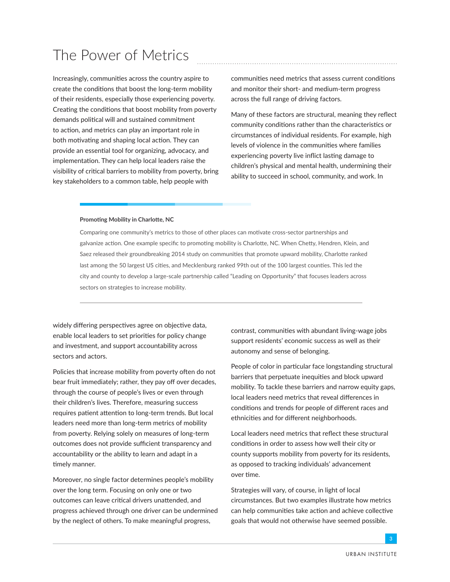## The Power of Metrics

Increasingly, communities across the country aspire to create the conditions that boost the long-term mobility of their residents, especially those experiencing poverty. Creating the conditions that boost mobility from poverty demands political will and sustained commitment to action, and metrics can play an important role in both motivating and shaping local action. They can provide an essential tool for organizing, advocacy, and implementation. They can help local leaders raise the visibility of critical barriers to mobility from poverty, bring key stakeholders to a common table, help people with

communities need metrics that assess current conditions and monitor their short- and medium-term progress across the full range of driving factors.

Many of these factors are structural, meaning they reflect community conditions rather than the characteristics or circumstances of individual residents. For example, high levels of violence in the communities where families experiencing poverty live inflict lasting damage to children's physical and mental health, undermining their ability to succeed in school, community, and work. In

#### **Promoting Mobility in Charlotte, NC**

Comparing one community's metrics to those of other places can motivate cross-sector partnerships and galvanize action. One example specific to promoting mobility is Charlotte, NC. When Chetty, Hendren, Klein, and Saez released their groundbreaking 2014 study on communities that promote upward mobility, Charlotte ranked last among the 50 largest US cities, and Mecklenburg ranked 99th out of the 100 largest counties. This led the city and county to develop a large-scale partnership called ["Leading on Opportunity"](https://www.leadingonopportunity.org/) that focuses leaders across sectors on strategies to increase mobility.

widely differing perspectives agree on objective data, enable local leaders to set priorities for policy change and investment, and support accountability across sectors and actors.

Policies that increase mobility from poverty often do not bear fruit immediately; rather, they pay off over decades, through the course of people's lives or even through their children's lives. Therefore, measuring success requires patient attention to long-term trends. But local leaders need more than long-term metrics of mobility from poverty. Relying solely on measures of long-term outcomes does not provide sufficient transparency and accountability or the ability to learn and adapt in a timely manner.

Moreover, no single factor determines people's mobility over the long term. Focusing on only one or two outcomes can leave critical drivers unattended, and progress achieved through one driver can be undermined by the neglect of others. To make meaningful progress,

contrast, communities with abundant living-wage jobs support residents' economic success as well as their autonomy and sense of belonging.

People of color in particular face longstanding structural barriers that perpetuate inequities and block upward mobility. To tackle these barriers and narrow equity gaps, local leaders need metrics that reveal differences in conditions and trends for people of different races and ethnicities and for different neighborhoods.

Local leaders need metrics that reflect these structural conditions in order to assess how well their city or county supports mobility from poverty for its residents, as opposed to tracking individuals' advancement over time.

Strategies will vary, of course, in light of local circumstances. But two examples illustrate how metrics can help communities take action and achieve collective goals that would not otherwise have seemed possible.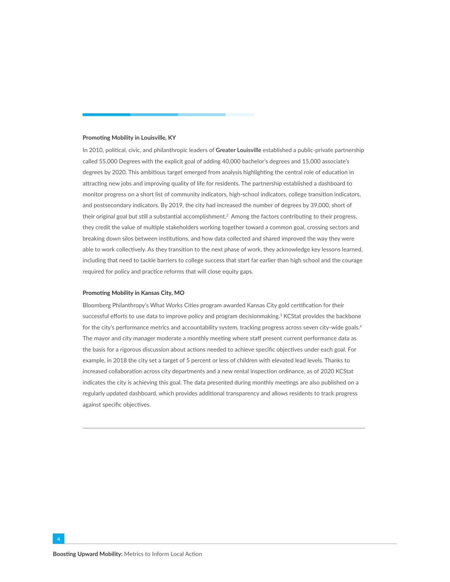#### **Promoting Mobility in Louisville, KY**

In 2010, political, civic, and philanthropic leaders of **Greater Louisville** established a public-private partnership called [55,000 Degrees w](http://www.55000degrees.org/)ith the explicit goal of adding 40,000 bachelor's degrees and 15,000 associate's degrees by 2020. This ambitious target emerged from analysis highlighting the central role of education in attracting new jobs and improving quality of life for residents. The partnership established a [dashboard](http://dashboard.55000degrees.org/) to monitor progress on a short list of community indicators, high-school indicators, college transition indicators, and postsecondary indicators. By [2019](http://www.55000degrees.org/a-look-back-and-a-look-ahead-lessons-learned-from-an-education-movement/), the city had increased the number of degrees by 39,000, short of their original goal but still a substantial accomplishment.2 Among the factors contributing to their progress, they credit the value of multiple stakeholders working together toward a common goal, crossing sectors and breaking down silos between institutions, and how data collected and shared improved the way they were able to work collectively. As they transition to the next phase of work, they acknowledge key lessons learned, including that need to tackle barriers to college success that start far earlier than high school and the courage required for policy and practice reforms that will close equity gaps.

#### **Promoting Mobility in Kansas City, MO**

Bloomberg Philanthropy's What Works Cities program awarded Kansas City [gold certification](https://medium.com/what-works-cities-certification/kansas-city-louisville-and-washington-dc-level-up-cef847c62a6f) for their successful efforts to use data to improve policy and program decisionmaking.<sup>3</sup> [KCStat](https://dashboards.mysidewalk.com/kcstat/dashboardpage-1532609256752-8373288548-943858) provides the backbone for the city's performance metrics and accountability system, tracking progress across seven city-wide goals.4 The mayor and city manager moderate a monthly meeting where staff present current performance data as the basis for a rigorous discussion about actions needed to achieve specific objectives under each goal. For example, in 2018 the city set a target of 5 percent or less of children with elevated lead levels. Thanks to increased collaboration across city departments and a new rental inspection ordinance, as of 2020 KCStat indicates the city is achieving this goal. The data presented during monthly meetings are also published on a regularly updated dashboard, which provides additional transparency and allows residents to track progress against specific objectives.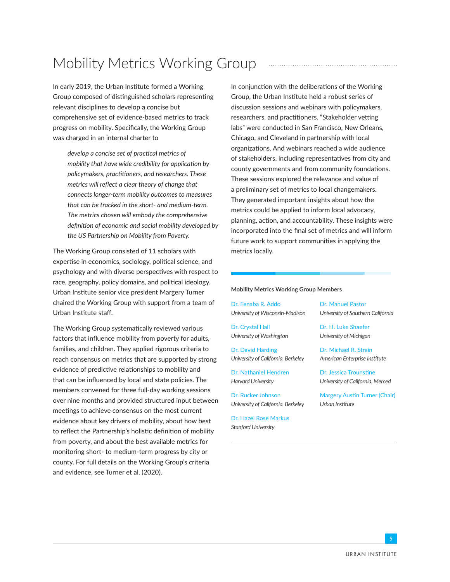# Mobility Metrics Working Group

In early 2019, the Urban Institute formed a Working Group composed of distinguished scholars representing relevant disciplines to develop a concise but comprehensive set of evidence-based metrics to track progress on mobility. Specifically, the Working Group was charged in an internal charter to

*develop a concise set of practical metrics of mobility that have wide credibility for application by policymakers, practitioners, and researchers. These metrics will reflect a clear theory of change that connects longer-term mobility outcomes to measures that can be tracked in the short- and medium-term. The metrics chosen will embody the comprehensive definition of economic and social mobility developed by the US Partnership on Mobility from Poverty.*

The Working Group consisted of 11 scholars with expertise in economics, sociology, political science, and psychology and with diverse perspectives with respect to race, geography, policy domains, and political ideology. Urban Institute senior vice president Margery Turner chaired the Working Group with support from a team of Urban Institute staff.

The Working Group systematically reviewed various factors that influence mobility from poverty for adults, families, and children. They applied rigorous criteria to reach consensus on metrics that are supported by strong evidence of predictive relationships to mobility and that can be influenced by local and state policies. The members convened for three full-day working sessions over nine months and provided structured input between meetings to achieve consensus on the most current evidence about key drivers of mobility, about how best to reflect the Partnership's holistic definition of mobility from poverty, and about the best available metrics for monitoring short- to medium-term progress by city or county. For full details on the Working Group's criteria and evidence, see Turner et al. (2020).

In conjunction with the deliberations of the Working Group, the Urban Institute held a robust series of discussion sessions and webinars with policymakers, researchers, and practitioners. "Stakeholder vetting labs" were conducted in San Francisco, New Orleans, Chicago, and Cleveland in partnership with local organizations. And webinars reached a wide audience of stakeholders, including representatives from city and county governments and from community foundations. These sessions explored the relevance and value of a preliminary set of metrics to local changemakers. They generated important insights about how the metrics could be applied to inform local advocacy, planning, action, and accountability. These insights were incorporated into the final set of metrics and will inform future work to support communities in applying the metrics locally.

#### **Mobility Metrics Working Group Members**

Dr. Fenaba R. Addo *University of Wisconsin-Madison*

Dr. Crystal Hall *University of Washington*

Dr. David Harding *University of California, Berkeley*

Dr. Nathaniel Hendren *Harvard University*

Dr. Rucker Johnson *University of California, Berkeley*

Dr. Hazel Rose Markus *Stanford University*

Dr. Manuel Pastor *University of Southern California*

Dr. H. Luke Shaefer *University of Michigan*

Dr. Michael R. Strain *American Enterprise Institute*

Dr. Jessica Trounstine *University of California, Merced*

Margery Austin Turner (Chair) *Urban Institute*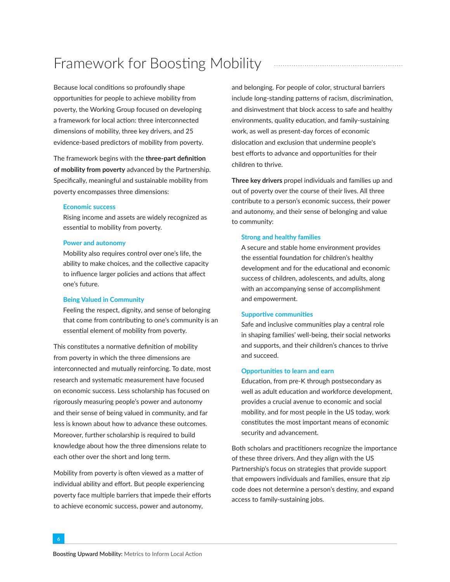# Framework for Boosting Mobility

Because local conditions so profoundly shape opportunities for people to achieve mobility from poverty, the Working Group focused on developing a framework for local action: three interconnected dimensions of mobility, three key drivers, and 25 evidence-based predictors of mobility from poverty.

The framework begins with the **three-part definition of mobility from poverty** advanced by the Partnership. Specifically, meaningful and sustainable mobility from poverty encompasses three dimensions:

#### **Economic success**

Rising income and assets are widely recognized as essential to mobility from poverty.

#### **Power and autonomy**

Mobility also requires control over one's life, the ability to make choices, and the collective capacity to influence larger policies and actions that affect one's future.

#### **Being Valued in Community**

Feeling the respect, dignity, and sense of belonging that come from contributing to one's community is an essential element of mobility from poverty.

This constitutes a normative definition of mobility from poverty in which the three dimensions are interconnected and mutually reinforcing. To date, most research and systematic measurement have focused on economic success. Less scholarship has focused on rigorously measuring people's power and autonomy and their sense of being valued in community, and far less is known about how to advance these outcomes. Moreover, further scholarship is required to build knowledge about how the three dimensions relate to each other over the short and long term.

Mobility from poverty is often viewed as a matter of individual ability and effort. But people experiencing poverty face multiple barriers that impede their efforts to achieve economic success, power and autonomy,

and belonging. For people of color, structural barriers include long-standing patterns of racism, discrimination, and disinvestment that block access to safe and healthy environments, quality education, and family-sustaining work, as well as present-day forces of economic dislocation and exclusion that undermine people's best efforts to advance and opportunities for their children to thrive.

**Three key drivers** propel individuals and families up and out of poverty over the course of their lives. All three contribute to a person's economic success, their power and autonomy, and their sense of belonging and value to community:

#### **Strong and healthy families**

A secure and stable home environment provides the essential foundation for children's healthy development and for the educational and economic success of children, adolescents, and adults, along with an accompanying sense of accomplishment and empowerment.

#### **Supportive communities**

Safe and inclusive communities play a central role in shaping families' well-being, their social networks and supports, and their children's chances to thrive and succeed.

#### **Opportunities to learn and earn**

Education, from pre-K through postsecondary as well as adult education and workforce development, provides a crucial avenue to economic and social mobility, and for most people in the US today, work constitutes the most important means of economic security and advancement.

Both scholars and practitioners recognize the importance of these three drivers. And they align with the US Partnership's focus on strategies that provide support that empowers individuals and families, ensure that zip code does not determine a person's destiny, and expand access to family-sustaining jobs.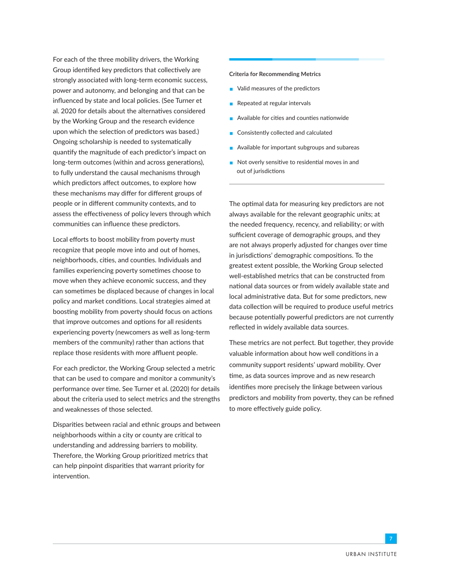For each of the three mobility drivers, the Working Group identified key predictors that collectively are strongly associated with long-term economic success, power and autonomy, and belonging and that can be influenced by state and local policies. (See Turner et al. 2020 for details about the alternatives considered by the Working Group and the research evidence upon which the selection of predictors was based.) Ongoing scholarship is needed to systematically quantify the magnitude of each predictor's impact on long-term outcomes (within and across generations), to fully understand the causal mechanisms through which predictors affect outcomes, to explore how these mechanisms may differ for different groups of people or in different community contexts, and to assess the effectiveness of policy levers through which communities can influence these predictors.

Local efforts to boost mobility from poverty must recognize that people move into and out of homes, neighborhoods, cities, and counties. Individuals and families experiencing poverty sometimes choose to move when they achieve economic success, and they can sometimes be displaced because of changes in local policy and market conditions. Local strategies aimed at boosting mobility from poverty should focus on actions that improve outcomes and options for all residents experiencing poverty (newcomers as well as long-term members of the community) rather than actions that replace those residents with more affluent people.

For each predictor, the Working Group selected a metric that can be used to compare and monitor a community's performance over time. See Turner et al. (2020) for details about the criteria used to select metrics and the strengths and weaknesses of those selected.

Disparities between racial and ethnic groups and between neighborhoods within a city or county are critical to understanding and addressing barriers to mobility. Therefore, the Working Group prioritized metrics that can help pinpoint disparities that warrant priority for intervention.

#### **Criteria for Recommending Metrics**

- Valid measures of the predictors
- Repeated at regular intervals
- Available for cities and counties nationwide
- Consistently collected and calculated
- $\blacksquare$  Available for important subgroups and subareas
- $\blacksquare$  Not overly sensitive to residential moves in and out of jurisdictions

The optimal data for measuring key predictors are not always available for the relevant geographic units; at the needed frequency, recency, and reliability; or with sufficient coverage of demographic groups, and they are not always properly adjusted for changes over time in jurisdictions' demographic compositions. To the greatest extent possible, the Working Group selected well-established metrics that can be constructed from national data sources or from widely available state and local administrative data. But for some predictors, new data collection will be required to produce useful metrics because potentially powerful predictors are not currently reflected in widely available data sources.

These metrics are not perfect. But together, they provide valuable information about how well conditions in a community support residents' upward mobility. Over time, as data sources improve and as new research identifies more precisely the linkage between various predictors and mobility from poverty, they can be refined to more effectively guide policy.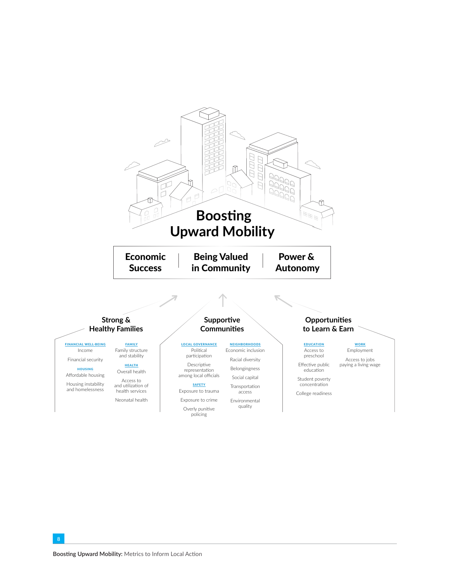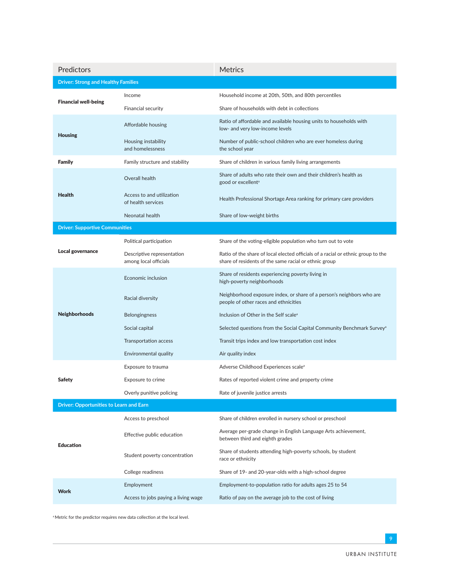| Predictors                                     |                                                     | Metrics                                                                                                                                   |
|------------------------------------------------|-----------------------------------------------------|-------------------------------------------------------------------------------------------------------------------------------------------|
| <b>Driver: Strong and Healthy Families</b>     |                                                     |                                                                                                                                           |
| <b>Financial well-being</b>                    | Income                                              | Household income at 20th, 50th, and 80th percentiles                                                                                      |
|                                                | Financial security                                  | Share of households with debt in collections                                                                                              |
| <b>Housing</b>                                 | Affordable housing                                  | Ratio of affordable and available housing units to households with<br>low- and very low-income levels                                     |
|                                                | Housing instability<br>and homelessness             | Number of public-school children who are ever homeless during<br>the school year                                                          |
| Family                                         | Family structure and stability                      | Share of children in various family living arrangements                                                                                   |
| <b>Health</b>                                  | Overall health                                      | Share of adults who rate their own and their children's health as<br>good or excellent <sup>a</sup>                                       |
|                                                | Access to and utilization<br>of health services     | Health Professional Shortage Area ranking for primary care providers                                                                      |
|                                                | Neonatal health                                     | Share of low-weight births                                                                                                                |
| <b>Driver: Supportive Communities</b>          |                                                     |                                                                                                                                           |
| Local governance                               | Political participation                             | Share of the voting-eligible population who turn out to vote                                                                              |
|                                                | Descriptive representation<br>among local officials | Ratio of the share of local elected officials of a racial or ethnic group to the<br>share of residents of the same racial or ethnic group |
| Neighborhoods                                  | Economic inclusion                                  | Share of residents experiencing poverty living in<br>high-poverty neighborhoods                                                           |
|                                                | Racial diversity                                    | Neighborhood exposure index, or share of a person's neighbors who are<br>people of other races and ethnicities                            |
|                                                | <b>Belongingness</b>                                | Inclusion of Other in the Self scale <sup>a</sup>                                                                                         |
|                                                | Social capital                                      | Selected questions from the Social Capital Community Benchmark Survey <sup>a</sup>                                                        |
|                                                | Transportation access                               | Transit trips index and low transportation cost index                                                                                     |
|                                                | Environmental quality                               | Air quality index                                                                                                                         |
| Safety                                         | Exposure to trauma                                  | Adverse Childhood Experiences scale <sup>a</sup>                                                                                          |
|                                                | Exposure to crime                                   | Rates of reported violent crime and property crime                                                                                        |
|                                                | Overly punitive policing                            | Rate of juvenile justice arrests                                                                                                          |
| <b>Driver: Opportunities to Learn and Earn</b> |                                                     |                                                                                                                                           |
| <b>Education</b>                               | Access to preschool                                 | Share of children enrolled in nursery school or preschool                                                                                 |
|                                                | Effective public education                          | Average per-grade change in English Language Arts achievement,<br>between third and eighth grades                                         |
|                                                | Student poverty concentration                       | Share of students attending high-poverty schools, by student<br>race or ethnicity                                                         |
|                                                | College readiness                                   | Share of 19- and 20-year-olds with a high-school degree                                                                                   |
| <b>Work</b>                                    | Employment                                          | Employment-to-population ratio for adults ages 25 to 54                                                                                   |
|                                                | Access to jobs paying a living wage                 | Ratio of pay on the average job to the cost of living                                                                                     |

a Metric for the predictor requires new data collection at the local level.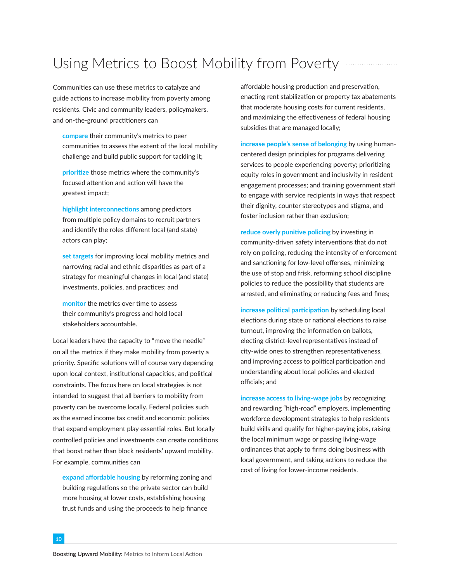## Using Metrics to Boost Mobility from Poverty *...................*...

Communities can use these metrics to catalyze and guide actions to increase mobility from poverty among residents. Civic and community leaders, policymakers, and on-the-ground practitioners can

**compare** their community's metrics to peer communities to assess the extent of the local mobility challenge and build public support for tackling it;

**prioritize** those metrics where the community's focused attention and action will have the greatest impact;

**highlight interconnections** among predictors from multiple policy domains to recruit partners and identify the roles different local (and state) actors can play;

**set targets** for improving local mobility metrics and narrowing racial and ethnic disparities as part of a strategy for meaningful changes in local (and state) investments, policies, and practices; and

**monitor** the metrics over time to assess their community's progress and hold local stakeholders accountable.

Local leaders have the capacity to "move the needle" on all the metrics if they make mobility from poverty a priority. Specific solutions will of course vary depending upon local context, institutional capacities, and political constraints. The focus here on local strategies is not intended to suggest that all barriers to mobility from poverty can be overcome locally. Federal policies such as the earned income tax credit and economic policies that expand employment play essential roles. But locally controlled policies and investments can create conditions that boost rather than block residents' upward mobility. For example, communities can

**expand affordable housing** by reforming zoning and building regulations so the private sector can build more housing at lower costs, establishing housing trust funds and using the proceeds to help finance

affordable housing production and preservation, enacting rent stabilization or property tax abatements that moderate housing costs for current residents, and maximizing the effectiveness of federal housing subsidies that are managed locally;

**increase people's sense of belonging** by using humancentered design principles for programs delivering services to people experiencing poverty; prioritizing equity roles in government and inclusivity in resident engagement processes; and training government staff to engage with service recipients in ways that respect their dignity, counter stereotypes and stigma, and foster inclusion rather than exclusion;

**reduce overly punitive policing** by investing in community-driven safety interventions that do not rely on policing, reducing the intensity of enforcement and sanctioning for low-level offenses, minimizing the use of stop and frisk, reforming school discipline policies to reduce the possibility that students are arrested, and eliminating or reducing fees and fines;

**increase political participation** by scheduling local elections during state or national elections to raise turnout, improving the information on ballots, electing district-level representatives instead of city-wide ones to strengthen representativeness, and improving access to political participation and understanding about local policies and elected officials; and

**increase access to living-wage jobs** by recognizing and rewarding "high-road" employers, implementing workforce development strategies to help residents build skills and qualify for higher-paying jobs, raising the local minimum wage or passing living-wage ordinances that apply to firms doing business with local government, and taking actions to reduce the cost of living for lower-income residents.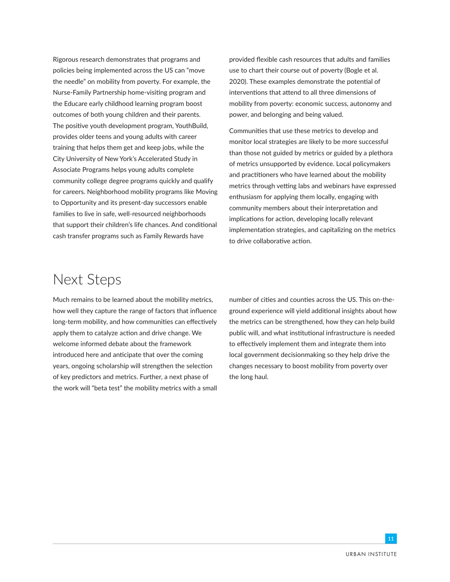Rigorous research demonstrates that programs and policies being implemented across the US can "move the needle" on mobility from poverty. For example, the Nurse-Family Partnership home-visiting program and the Educare early childhood learning program boost outcomes of both young children and their parents. The positive youth development program, YouthBuild, provides older teens and young adults with career training that helps them get and keep jobs, while the City University of New York's Accelerated Study in Associate Programs helps young adults complete community college degree programs quickly and qualify for careers. Neighborhood mobility programs like Moving to Opportunity and its present-day successors enable families to live in safe, well-resourced neighborhoods that support their children's life chances. And conditional cash transfer programs such as Family Rewards have

provided flexible cash resources that adults and families use to chart their course out of poverty (Bogle et al. 2020). These examples demonstrate the potential of interventions that attend to all three dimensions of mobility from poverty: economic success, autonomy and power, and belonging and being valued.

Communities that use these metrics to develop and monitor local strategies are likely to be more successful than those not guided by metrics or guided by a plethora of metrics unsupported by evidence. Local policymakers and practitioners who have learned about the mobility metrics through vetting labs and webinars have expressed enthusiasm for applying them locally, engaging with community members about their interpretation and implications for action, developing locally relevant implementation strategies, and capitalizing on the metrics to drive collaborative action.

## Next Steps

Much remains to be learned about the mobility metrics, how well they capture the range of factors that influence long-term mobility, and how communities can effectively apply them to catalyze action and drive change. We welcome informed debate about the framework introduced here and anticipate that over the coming years, ongoing scholarship will strengthen the selection of key predictors and metrics. Further, a next phase of the work will "beta test" the mobility metrics with a small

number of cities and counties across the US. This on-theground experience will yield additional insights about how the metrics can be strengthened, how they can help build public will, and what institutional infrastructure is needed to effectively implement them and integrate them into local government decisionmaking so they help drive the changes necessary to boost mobility from poverty over the long haul.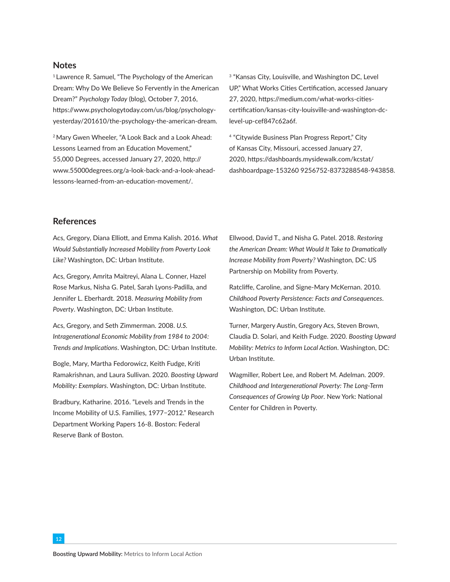#### **Notes**

<sup>1</sup> Lawrence R. Samuel, "The Psychology of the American Dream: Why Do We Believe So Fervently in the American Dream?" *Psychology Today* (blog), October 7, 2016, [https://www.psychologytoday.com/us/blog/psychology](https://www.psychologytoday.com/us/blog/psychology-yesterday/201610/the-psychology-the-american-dream)[yesterday/201610/the-psychology-the-american-dream.](https://www.psychologytoday.com/us/blog/psychology-yesterday/201610/the-psychology-the-american-dream)

2 Mary Gwen Wheeler, "A Look Back and a Look Ahead: Lessons Learned from an Education Movement," 55,000 Degrees, accessed January 27, 2020, [http://](http://www.55000degrees.org/a-look-back-and-a-look-ahead-lessons-learned-from-an-education-movement/) [www.55000degrees.org/a-look-back-and-a-look-ahead](http://www.55000degrees.org/a-look-back-and-a-look-ahead-lessons-learned-from-an-education-movement/)[lessons-learned-from-an-education-movement/](http://www.55000degrees.org/a-look-back-and-a-look-ahead-lessons-learned-from-an-education-movement/).

<sup>3</sup> "Kansas City, Louisville, and Washington DC, Level UP," What Works Cities Certification, accessed January 27, 2020, [https://medium.com/what-works-cities](https://medium.com/what-works-cities-certification/kansas-city-louisville-and-washington-dc-level-up-cef847c62a6f)[certification/kansas-city-louisville-and-washington-dc](https://medium.com/what-works-cities-certification/kansas-city-louisville-and-washington-dc-level-up-cef847c62a6f)[level-up-cef847c62a6f](https://medium.com/what-works-cities-certification/kansas-city-louisville-and-washington-dc-level-up-cef847c62a6f).

4 "Citywide Business Plan Progress Report," City of Kansas City, Missouri, accessed January 27, 2020, [https://dashboards.mysidewalk.com/kcstat/](https://dashboards.mysidewalk.com/kcstat/dashboardpage-1532609256752-8373288548-943858) [dashboardpage-153260 9256752-8373288548-943858.](https://dashboards.mysidewalk.com/kcstat/dashboardpage-1532609256752-8373288548-943858)

#### **References**

Acs, Gregory, Diana Elliott, and Emma Kalish. 2016. *What Would Substantially Increased Mobility from Poverty Look Like?* Washington, DC: Urban Institute.

Acs, Gregory, Amrita Maitreyi, Alana L. Conner, Hazel Rose Markus, Nisha G. Patel, Sarah Lyons-Padilla, and Jennifer L. Eberhardt. 2018. *Measuring Mobility from Poverty*. Washington, DC: Urban Institute.

Acs, Gregory, and Seth Zimmerman. 2008. *U.S. Intragenerational Economic Mobility from 1984 to 2004: Trends and Implications*. Washington, DC: Urban Institute.

Bogle, Mary, Martha Fedorowicz, Keith Fudge, Kriti Ramakrishnan, and Laura Sullivan. 2020. *Boosting Upward Mobility: Exemplars*. Washington, DC: Urban Institute.

Bradbury, Katharine. 2016. "Levels and Trends in the Income Mobility of U.S. Families, 1977−2012." Research Department Working Papers 16-8. Boston: Federal Reserve Bank of Boston.

Ellwood, David T., and Nisha G. Patel. 2018. *[Restoring](https://www.mobilitypartnership.org/restoring-american-dream)  [the American Dream: What Would It Take to Dramatically](https://www.mobilitypartnership.org/restoring-american-dream)  [Increase Mobility from Poverty?](https://www.mobilitypartnership.org/restoring-american-dream)* Washington, DC: US Partnership on Mobility from Poverty.

Ratcliffe, Caroline, and Signe-Mary McKernan. 2010. *Childhood Poverty Persistence: Facts and Consequences*. Washington, DC: Urban Institute.

Turner, Margery Austin, Gregory Acs, Steven Brown, Claudia D. Solari, and Keith Fudge. 2020. *Boosting Upward Mobility: Metrics to Inform Local Action*. Washington, DC: Urban Institute.

Wagmiller, Robert Lee, and Robert M. Adelman. 2009. *Childhood and Intergenerational Poverty: The Long-Term Consequences of Growing Up Poor*. New York: National Center for Children in Poverty.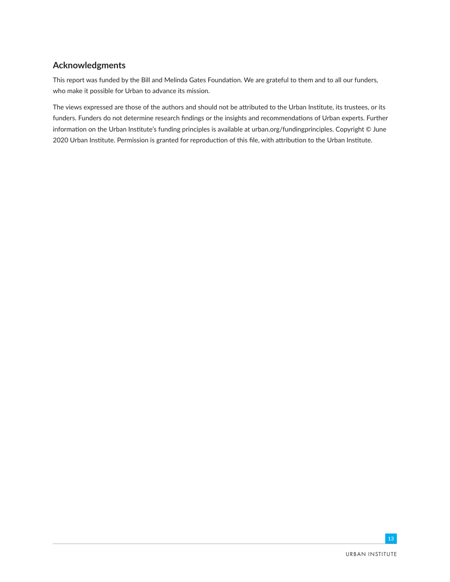### **Acknowledgments**

This report was funded by the Bill and Melinda Gates Foundation. We are grateful to them and to all our funders, who make it possible for Urban to advance its mission.

The views expressed are those of the authors and should not be attributed to the Urban Institute, its trustees, or its funders. Funders do not determine research findings or the insights and recommendations of Urban experts. Further information on the Urban Institute's funding principles is available at [urban.org/fundingprinciples](https://www.urban.org/aboutus/our-funding/funding-principles). Copyright © June 2020 Urban Institute. Permission is granted for reproduction of this file, with attribution to the Urban Institute.